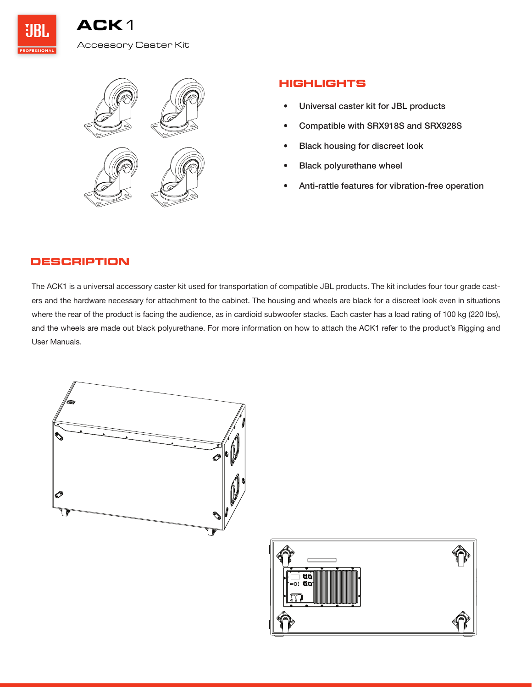

## **HIGHLIGHTS**

- Universal caster kit for JBL products
- Compatible with SRX918S and SRX928S
- Black housing for discreet look
- Black polyurethane wheel
- Anti-rattle features for vibration-free operation

## **DESCRIPTION**

The ACK1 is a universal accessory caster kit used for transportation of compatible JBL products. The kit includes four tour grade casters and the hardware necessary for attachment to the cabinet. The housing and wheels are black for a discreet look even in situations where the rear of the product is facing the audience, as in cardioid subwoofer stacks. Each caster has a load rating of 100 kg (220 lbs), and the wheels are made out black polyurethane. For more information on how to attach the ACK1 refer to the product's Rigging and User Manuals.